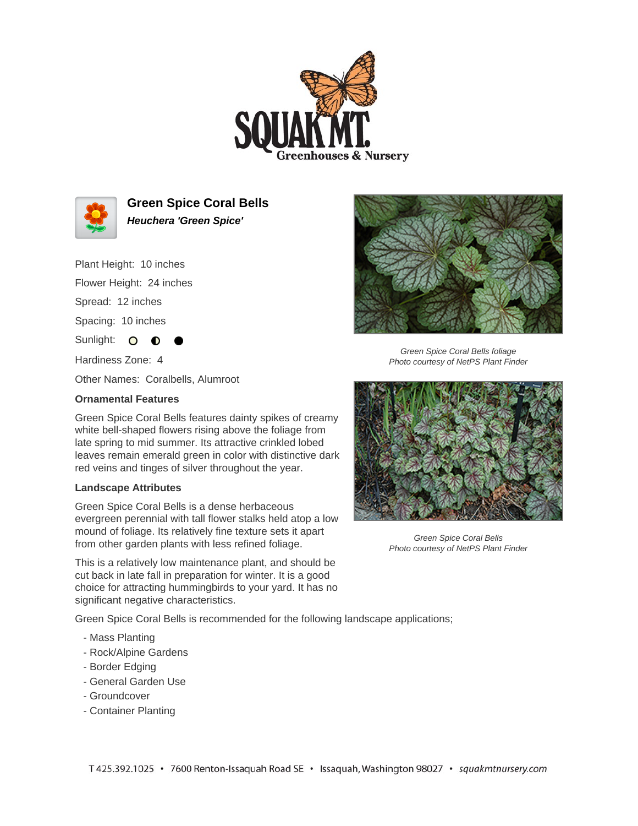



**Green Spice Coral Bells Heuchera 'Green Spice'**

Plant Height: 10 inches

Flower Height: 24 inches

Spread: 12 inches

Spacing: 10 inches

Sunlight: O **O** 

Hardiness Zone: 4

Other Names: Coralbells, Alumroot

## **Ornamental Features**

Green Spice Coral Bells features dainty spikes of creamy white bell-shaped flowers rising above the foliage from late spring to mid summer. Its attractive crinkled lobed leaves remain emerald green in color with distinctive dark red veins and tinges of silver throughout the year.

## **Landscape Attributes**

Green Spice Coral Bells is a dense herbaceous evergreen perennial with tall flower stalks held atop a low mound of foliage. Its relatively fine texture sets it apart from other garden plants with less refined foliage.

This is a relatively low maintenance plant, and should be cut back in late fall in preparation for winter. It is a good choice for attracting hummingbirds to your yard. It has no significant negative characteristics.

Green Spice Coral Bells is recommended for the following landscape applications;

- Mass Planting
- Rock/Alpine Gardens
- Border Edging
- General Garden Use
- Groundcover
- Container Planting



Green Spice Coral Bells foliage Photo courtesy of NetPS Plant Finder



Green Spice Coral Bells Photo courtesy of NetPS Plant Finder